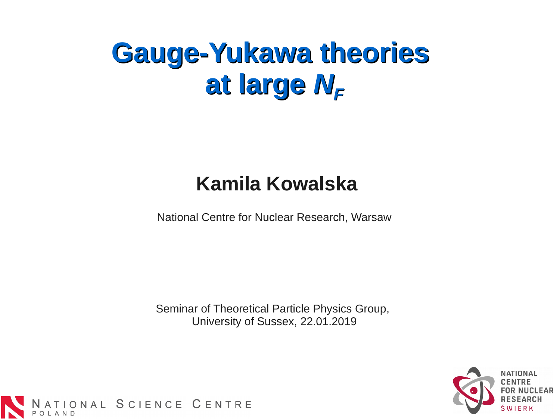# **Gauge-Yukawa theories**  at large  $N_F$

#### **Kamila Kowalska**

National Centre for Nuclear Research, Warsaw

Seminar of Theoretical Particle Physics Group, University of Sussex, 22.01.2019



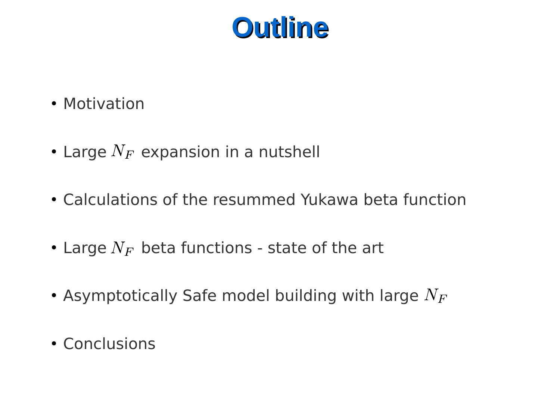

- Motivation
- Large  $N_F$  expansion in a nutshell
- Calculations of the resummed Yukawa beta function
- Large  $N_F$  beta functions state of the art
- Asymptotically Safe model building with large  $N_F$
- Conclusions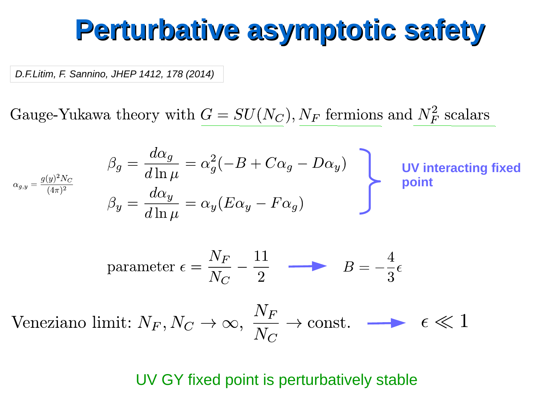#### **Perturbative asymptotic safety**

*D.F.Litim, F. Sannino, JHEP 1412, 178 (2014)*

Gauge-Yukawa theory with  $G = SU(N_C)$ ,  $N_F$  fermions and  $N_F^2$  scalars

$$
\beta_g = \frac{d\alpha_g}{d\ln \mu} = \alpha_g^2(-B + C\alpha_g - D\alpha_y)
$$
\n
$$
\beta_y = \frac{d\alpha_y}{d\ln \mu} = \alpha_y(E\alpha_y - F\alpha_g)
$$
\n
$$
\beta_y = \frac{d\alpha_y}{d\ln \mu} = \alpha_y(E\alpha_y - F\alpha_g)
$$
\n
$$
\beta_y = \frac{N_F}{N_C} - \frac{11}{2} \longrightarrow B = -\frac{4}{3}\epsilon
$$
\n
$$
\beta_z = -\frac{N_F}{N_C} - \frac{11}{2} \longrightarrow B = -\frac{4}{3}\epsilon
$$
\nVeneziano limit:  $N_F, N_C \to \infty, \frac{N_F}{N_C} \to \text{const.} \longrightarrow \epsilon \ll 1$ 

UV GY fixed point is perturbatively stable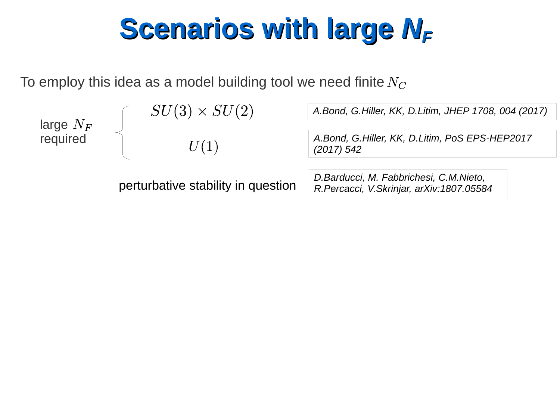# **Scenarios with large**  $N_F$

To employ this idea as a model building tool we need finite  $N_C$ 

| large $N_F$<br>required | $SU(3) \times SU(2)$               | A.Bond, G.Hiller, KK, D.Litim, JHEP 1708, 004 (2017)                               |
|-------------------------|------------------------------------|------------------------------------------------------------------------------------|
|                         | U(1)                               | A.Bond, G.Hiller, KK, D.Litim, PoS EPS-HEP2017<br>$(2017)$ 542                     |
|                         |                                    |                                                                                    |
|                         | perturbative stability in question | D.Barducci, M. Fabbrichesi, C.M.Nieto,<br>R.Percacci, V.Skrinjar, arXiv:1807.05584 |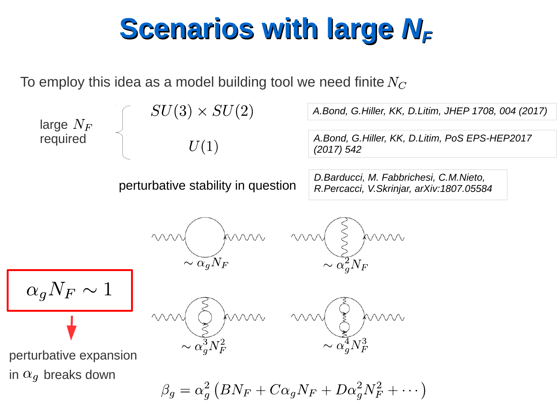# **Scenarios with large**  $N_F$

To employ this idea as a model building tool we need finite  $N_C$ 

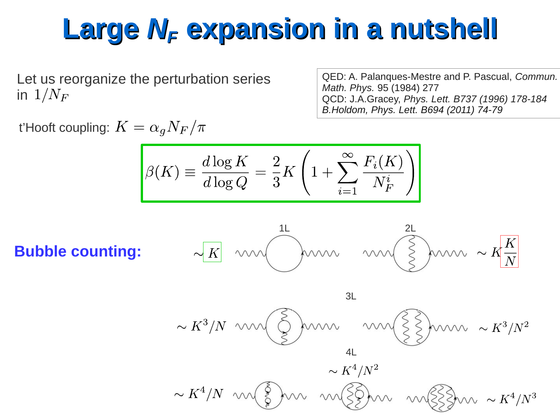Let us reorganize the perturbation series in  $1/N_F$ 

QED: A. Palanques-Mestre and P. Pascual, *Commun. Math. Phys.* 95 (1984) 277 QCD: J.A.Gracey, *Phys. Lett. B737 (1996) 178-184 B.Holdom, Phys. Lett. B694 (2011) 74-79*

t'Hooft coupling:  $K = \alpha_q N_F/\pi$ 

$$
\beta(K) \equiv \frac{d \log K}{d \log Q} = \frac{2}{3} K \left( 1 + \sum_{i=1}^{\infty} \frac{F_i(K)}{N_F^i} \right)
$$

**Bubble counting:**



$$
\sim K^4/N
$$
  $\sim K^4/N^2$   $\sim K^4/N^2$   $\sim K^4/N^3$ 

4L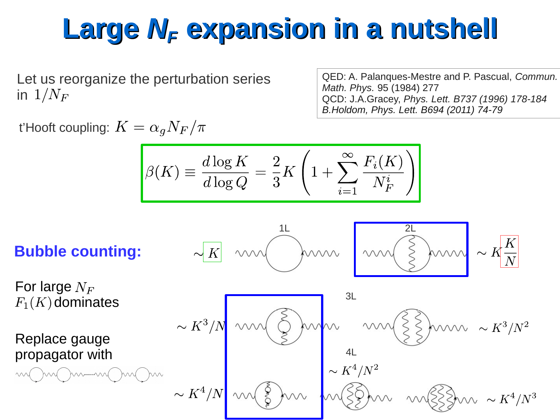Let us reorganize the perturbation series in  $1/N_F$ 

QED: A. Palanques-Mestre and P. Pascual, *Commun. Math. Phys.* 95 (1984) 277 QCD: J.A.Gracey, *Phys. Lett. B737 (1996) 178-184 B.Holdom, Phys. Lett. B694 (2011) 74-79*

t'Hooft coupling:  $K = \alpha_q N_F/\pi$ 

$$
\beta(K) \equiv \frac{d \log K}{d \log Q} = \frac{2}{3} K \left( 1 + \sum_{i=1}^{\infty} \frac{F_i(K)}{N_F^{i}} \right)
$$

**Bubble counting:**

For large  $N_F$  $F_1(K)$  dominates

Replace gauge propagator with

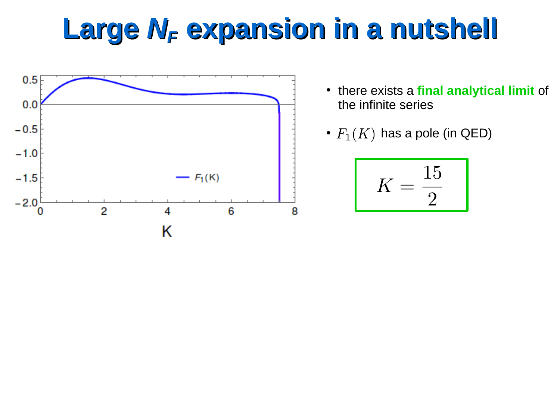

- there exists a **final analytical limit** of the infinite series
- $F_1(K)$  has a pole (in QED)

$$
K = \frac{15}{2}
$$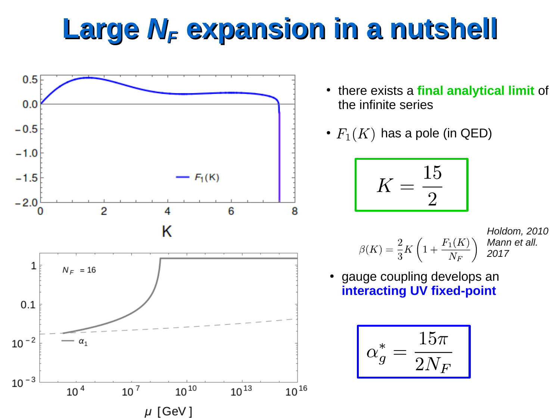

- there exists a **final analytical limit** of the infinite series
- $F_1(K)$  has a pole (in QED)

$$
K = \frac{15}{2}
$$

*Holdom, 2010 Mann et all. 2017*

gauge coupling develops an **interacting UV fixed-point** 

$$
\alpha_g^* = \frac{15\pi}{2N_F}
$$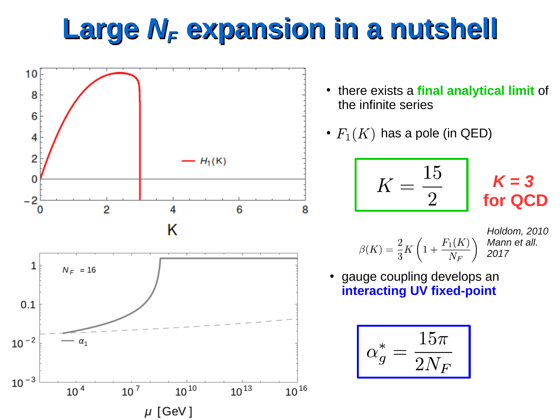

- there exists a **final analytical limit** of the infinite series
- $F_1(K)$  has a pole (in QED)

$$
K = \frac{15}{2}
$$

*K = 3*  **for QCD**

*Holdom, 2010 Mann et all. 2017*

gauge coupling develops an **interacting UV fixed-point** 

$$
\boxed{\alpha_g^* = \frac{15\pi}{2N_F}}
$$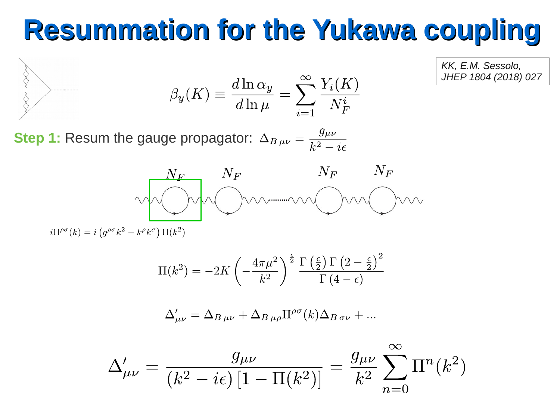$$
\beta_y(K) \equiv \frac{d \ln \alpha_y}{d \ln \mu} = \sum_{i=1}^{\infty} \frac{Y_i(K)}{N_F^i}
$$

*KK, E.M. Sessolo, JHEP 1804 (2018) 027*

**Step 1:** Resum the gauge propagator:  $\Delta_{B\,\mu\nu} = \frac{g_{\mu\nu}}{k^2 - i\epsilon}$ 



 $i\Pi^{\rho\sigma}(k) = i \left( g^{\rho\sigma} k^2 - k^{\rho} k^{\sigma} \right) \Pi(k^2)$ 

$$
\Pi(k^2) = -2K \left( -\frac{4\pi\mu^2}{k^2} \right)^{\frac{\epsilon}{2}} \frac{\Gamma\left(\frac{\epsilon}{2}\right) \Gamma\left(2 - \frac{\epsilon}{2}\right)^2}{\Gamma\left(4 - \epsilon\right)}
$$

$$
\Delta'_{\mu\nu} = \Delta_{B\,\mu\nu} + \Delta_{B\,\mu\rho} \Pi^{\rho\sigma}(k) \Delta_{B\,\sigma\nu} + \dots
$$

$$
\Delta'_{\mu\nu} = \frac{g_{\mu\nu}}{(k^2 - i\epsilon) \left[1 - \Pi(k^2)\right]} = \frac{g_{\mu\nu}}{k^2} \sum_{n=0}^{\infty} \Pi^n(k^2)
$$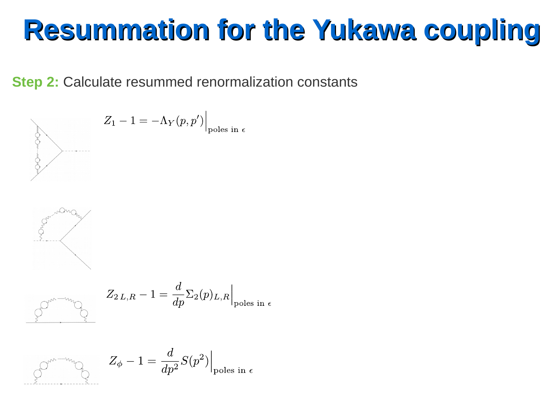**Step 2:** Calculate resummed renormalization constants



$$
Z_1 - 1 = -\Lambda_Y(p, p')\Big|_{\text{poles in } \varepsilon}
$$



$$
\frac{1}{2} \int_{\mathcal{C}_{\mathcal{W}} \rightarrow \mathcal{W}} \frac{1}{\sqrt{2}} \, d\mu
$$

$$
Z_{2L,R} - 1 = \frac{d}{dp} \Sigma_2(p)_{L,R} \Big|_{\text{poles in } \epsilon}
$$

$$
\left.\begin{matrix}\circ^{\mathbb{P}^{m-m_{\gamma}}}\circlearrowleft\\ \circlearrowright\end{matrix}\right\vert_{\mathcal{D}^{\text{obs in }\epsilon}}Z_{\phi}-1=\frac{d}{dp^2}S(p^2)\right\vert_{\text{poles in }\epsilon}
$$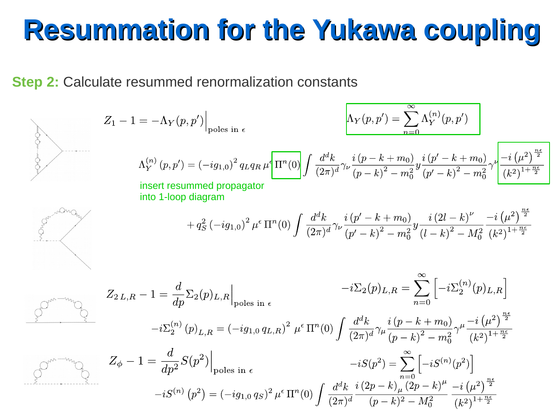**Step 2:** Calculate resummed renormalization constants

$$
Z_{1} - 1 = -\Lambda_{Y}(p, p')\Big|_{\text{poles in }\epsilon}
$$
\n
$$
\Lambda_{Y}^{(p, p')} = \sum_{n=0}^{\infty} \Lambda_{Y}^{(n)}(p, p')
$$
\n
$$
\Lambda_{Y}^{(n)}(p, p') = (-ig_{1,0})^{2} q_{L}q_{R} \mu \left[ \frac{\Pi^{n}(0)}{\Pi^{n}(0)} \int \frac{d^{d}k}{(2\pi)^{d}} \gamma_{\nu} \frac{i(p-k+m_{0})}{(p-k)^{2} - m_{0}^{2}} y \frac{i(p'-k+m_{0})}{(p'-k)^{2} - m_{0}^{2}} \gamma_{\nu} \frac{\left[-i(\mu^{2})^{\frac{n_{\ell}}{2}}\right]}{(k^{2})^{1+\frac{n_{\ell}}{2}}}
$$
\n
$$
+ q_{S}^{2} (-ig_{1,0})^{2} \mu^{t} \Pi^{n}(0) \int \frac{d^{d}k}{(2\pi)^{d}} \gamma_{\nu} \frac{i(p'-k+m_{0})}{(p'-k)^{2} - m_{0}^{2}} y \frac{i(2l-k)^{\nu}}{(l-k)^{2} - M_{0}^{2}} \frac{-i(\mu^{2})^{\frac{n_{\ell}}{2}}}{(k^{2})^{1+\frac{n_{\ell}}{2}}}
$$
\n
$$
Z_{2L,R} - 1 = \frac{d}{dp} \Sigma_{2}(p)_{L,R} \Big|_{\text{poles in }\epsilon}
$$
\n
$$
-i\Sigma_{2}(p)_{L,R} = \sum_{n=0}^{\infty} \left[-i\Sigma_{2}^{(n)}(p)_{L,R}\right]
$$
\n
$$
Z_{2L,R} - 1 = \frac{d}{dp} \Sigma_{2}(p)_{L,R} \Big|_{\text{poles in }\epsilon}
$$
\n
$$
-i\Sigma_{2}(p)_{L,R} = \sum_{n=0}^{\infty} \left[-i\Sigma_{2}^{(n)}(p)_{L,R}\right] \frac{d^{d}k}{(p-k+m_{0})} \gamma_{\mu} \frac{-i(\mu^{2})^{\frac{n_{\ell}}{2}}}{(k^{2})^{1+\frac{n_{\ell}}{2}}}
$$
\n
$$
Z_{\phi} - 1 = \frac{d}{dp^{2}} S(p^{2}) \Big|_{\text{poles in }\epsilon}
$$
\n
$$
-iS(n) (
$$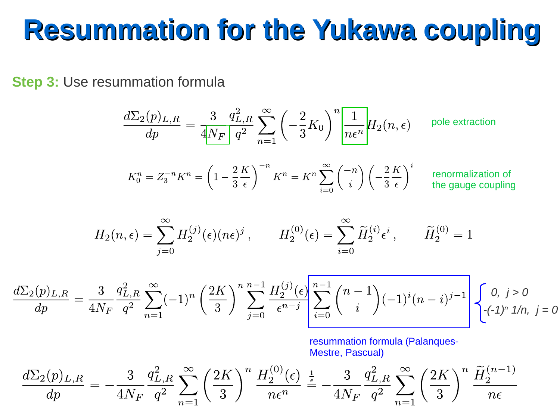**Step 3:** Use resummation formula

$$
\frac{d\Sigma_2(p)_{L,R}}{dp} = \frac{3}{4N_F} \frac{q_{L,R}^2}{q^2} \sum_{n=1}^{\infty} \left(-\frac{2}{3}K_0\right)^n \frac{1}{n\epsilon^n} H_2(n,\epsilon) \qquad \text{pole extraction}
$$

$$
K_0^n = Z_3^{-n} K^n = \left(1 - \frac{2}{3} \frac{K}{\epsilon}\right)^{-n} K^n = K^n \sum_{i=0}^{\infty} \binom{-n}{i} \left(-\frac{2}{3} \frac{K}{\epsilon}\right)^i
$$
 renormalization of  
the gauge coupling

$$
H_2(n,\epsilon) = \sum_{j=0}^{\infty} H_2^{(j)}(\epsilon)(n\epsilon)^j, \qquad H_2^{(0)}(\epsilon) = \sum_{i=0}^{\infty} \widetilde{H}_2^{(i)} \epsilon^i, \qquad \widetilde{H}_2^{(0)} = 1
$$

$$
\frac{d\Sigma_2(p)_{L,R}}{dp} = \frac{3}{4N_F} \frac{q_{L,R}^2}{q^2} \sum_{n=1}^{\infty} (-1)^n \left(\frac{2K}{3}\right)^n \sum_{j=0}^{n-1} \frac{H_2^{(j)}(\epsilon)}{\epsilon^{n-j}} \left[\sum_{i=0}^{n-1} {n-1 \choose i} (-1)^i (n-i)^{j-1}\right] \begin{cases} 0, & j > 0 \\ -(-1)^n 1/n, & j = 0 \end{cases}
$$

resummation formula (Palanques-Mestre, Pascual)

$$
\frac{d\Sigma_2(p)_{L,R}}{dp} = -\frac{3}{4N_F}\frac{q_{L,R}^2}{q^2}\sum_{n=1}^{\infty} \left(\frac{2K}{3}\right)^n\frac{H_2^{(0)}(\epsilon)}{n\epsilon^n} \stackrel{\frac{1}{\epsilon}}{=} -\frac{3}{4N_F}\frac{q_{L,R}^2}{q^2}\sum_{n=1}^{\infty} \left(\frac{2K}{3}\right)^n\frac{\widetilde{H}_2^{(n-1)}}{n\epsilon}
$$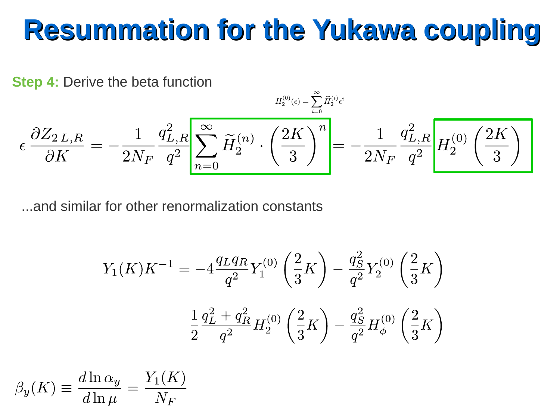**Step 4:** Derive the beta function

$$
\epsilon \, \frac{\partial Z_{2\,L,R}}{\partial K} = -\frac{1}{2 N_F} \frac{q_{L,R}^2}{q^2} \! \left| \sum_{n=0}^\infty \widetilde{H}_2^{(n)} \cdot \left( \frac{2K}{3} \right)^n \! \right| \! \! = -\frac{1}{2 N_F} \frac{q_{L,R}^2}{q^2} \! \left| H_2^{(0)} \left( \frac{2K}{3} \right) \right|
$$

...and similar for other renormalization constants

$$
Y_1(K)K^{-1} = -4\frac{q_L q_R}{q^2} Y_1^{(0)} \left(\frac{2}{3}K\right) - \frac{q_S^2}{q^2} Y_2^{(0)} \left(\frac{2}{3}K\right)
$$

$$
\frac{1}{2}\frac{q_L^2 + q_R^2}{q^2} H_2^{(0)} \left(\frac{2}{3}K\right) - \frac{q_S^2}{q^2} H_\phi^{(0)} \left(\frac{2}{3}K\right)
$$

$$
\beta_y(K) \equiv \frac{d\ln \alpha_y}{d\ln \mu} = \frac{Y_1(K)}{N_F}
$$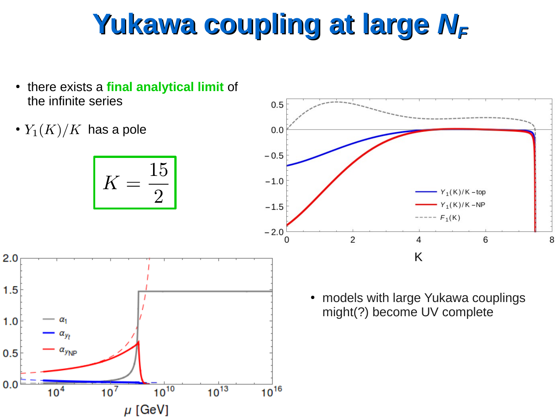# Yukawa coupling at large  $N_F$

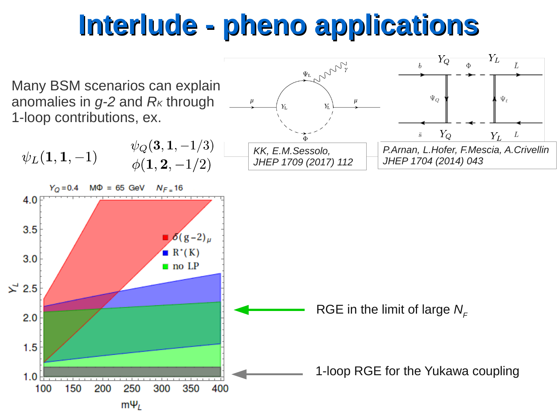## **Interlude - pheno applications**

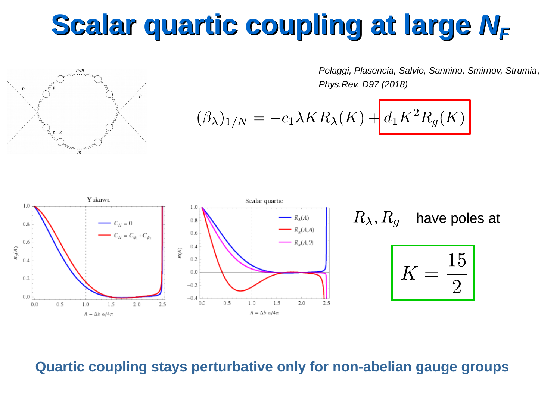# **Scalar quartic coupling at large**  $N_F$



*Pelaggi, Plasencia, Salvio, Sannino, Smirnov, Strumia*, *Phys.Rev. D97 (2018)*

$$
(\beta_{\lambda})_{1/N} = -c_1 \lambda KR_{\lambda}(K) + d_1 K^2 R_g(K)
$$



#### **Quartic coupling stays perturbative only for non-abelian gauge groups**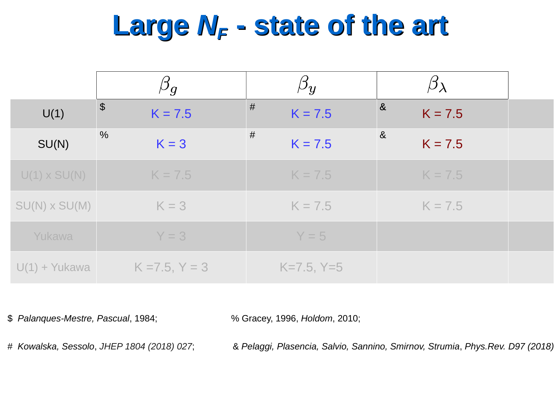## **Large** *NF* **- state of the art**

|                      | $\beta_g$                          | $\beta_y$      |                                    |  |
|----------------------|------------------------------------|----------------|------------------------------------|--|
| U(1)                 | $\boldsymbol{\theta}$<br>$K = 7.5$ | #<br>$K = 7.5$ | $\boldsymbol{\alpha}$<br>$K = 7.5$ |  |
| SU(N)                | $\frac{0}{0}$<br>$K = 3$           | #<br>$K = 7.5$ | $\&$<br>$K = 7.5$                  |  |
| $U(1) \times SU(N)$  | $K = 7.5$                          | $K = 7.5$      | $K = 7.5$                          |  |
| $SU(N) \times SU(M)$ | $K = 3$                            | $K = 7.5$      | $K = 7.5$                          |  |
| Yukawa               | $Y = 3$                            | $Y = 5$        |                                    |  |
| $U(1) + Y$ ukawa     | $K = 7.5, Y = 3$                   | $K=7.5, Y=5$   |                                    |  |

\$ *Palanques-Mestre, Pascual*, 1984; % Gracey, 1996, *Holdom*, 2010;

# *Kowalska, Sessolo*, *JHEP 1804 (2018) 027*; & *Pelaggi, Plasencia, Salvio, Sannino, Smirnov, Strumia*, *Phys.Rev. D97 (2018)*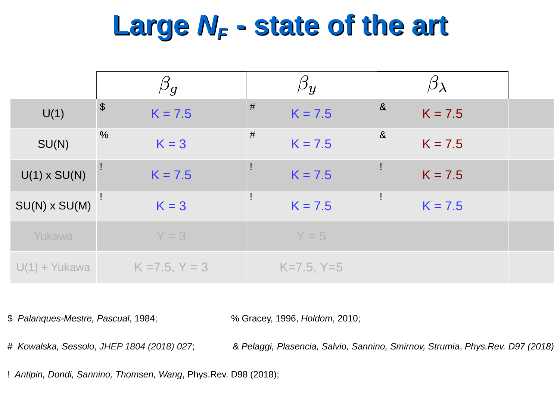#### **Large** *NF* **- state of the art**

|                     | $\overline{\rho}_g$        | $\beta_{y}$    |                                |  |
|---------------------|----------------------------|----------------|--------------------------------|--|
| U(1)                | $\frac{1}{2}$<br>$K = 7.5$ | #<br>$K = 7.5$ | $\boldsymbol{\&}$<br>$K = 7.5$ |  |
| SU(N)               | $\frac{0}{6}$<br>$K = 3$   | #<br>$K = 7.5$ | $\&$<br>$K = 7.5$              |  |
| $U(1) \times SU(N)$ | $K = 7.5$                  | $K = 7.5$      | $K = 7.5$                      |  |
| $SU(N)$ x $SU(M)$   | $K = 3$                    | $K = 7.5$      | $K = 7.5$                      |  |
| Yukawa              | $Y = 3$                    | $Y = 5$        |                                |  |
| $U(1) + Y$ ukawa    | $K = 7.5, Y = 3$           | $K=7.5, Y=5$   |                                |  |

\$ *Palanques-Mestre, Pascual*, 1984; % Gracey, 1996, *Holdom*, 2010;

# *Kowalska, Sessolo*, *JHEP 1804 (2018) 027*; & *Pelaggi, Plasencia, Salvio, Sannino, Smirnov, Strumia*, *Phys.Rev. D97 (2018)*

! *Antipin, Dondi, Sannino, Thomsen, Wang*, Phys.Rev. D98 (2018);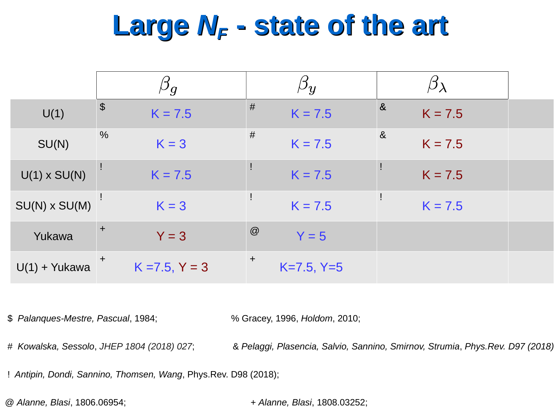## **Large** *NF* **- state of the art**

|                     | $\cup_{g}$                         | $\overline{\nu}y$   |                                |  |
|---------------------|------------------------------------|---------------------|--------------------------------|--|
| U(1)                | $\boldsymbol{\theta}$<br>$K = 7.5$ | #<br>$K = 7.5$      | $\boldsymbol{\&}$<br>$K = 7.5$ |  |
| SU(N)               | $\frac{0}{6}$<br>$K = 3$           | #<br>$K = 7.5$      | $\&$<br>$K = 7.5$              |  |
| $U(1) \times SU(N)$ | $K = 7.5$                          | Ţ<br>$K = 7.5$      | $K = 7.5$                      |  |
| $SU(N)$ x $SU(M)$   | $K = 3$                            | $K = 7.5$           | $K = 7.5$                      |  |
| Yukawa              | $\pm$<br>$Y = 3$                   | @<br>$Y = 5$        |                                |  |
| $U(1) + Yukawa$     | $\ddot{}$<br>$K = 7.5, Y = 3$      | $+$<br>$K=7.5, Y=5$ |                                |  |

\$ *Palanques-Mestre, Pascual*, 1984; % Gracey, 1996, *Holdom*, 2010;

# *Kowalska, Sessolo*, *JHEP 1804 (2018) 027*; & *Pelaggi, Plasencia, Salvio, Sannino, Smirnov, Strumia*, *Phys.Rev. D97 (2018)*

! *Antipin, Dondi, Sannino, Thomsen, Wang*, Phys.Rev. D98 (2018);

@ *Alanne, Blasi*, 1806.06954; + *Alanne, Blasi*, 1808.03252;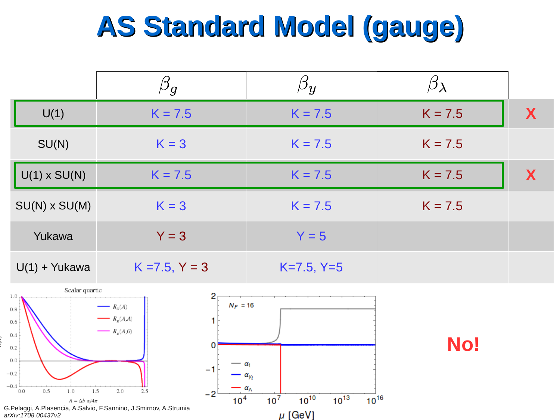# **AS Standard Model (gauge)**

|                      | $\beta_g$        | $\mu_{\bm{y}}$ |           |   |
|----------------------|------------------|----------------|-----------|---|
| U(1)                 | $K = 7.5$        | $K = 7.5$      | $K = 7.5$ | X |
| SU(N)                | $K = 3$          | $K = 7.5$      | $K = 7.5$ |   |
| $U(1) \times SU(N)$  | $K = 7.5$        | $K = 7.5$      | $K = 7.5$ | X |
| $SU(N) \times SU(M)$ | $K = 3$          | $K = 7.5$      | $K = 7.5$ |   |
| Yukawa               | $Y = 3$          | $Y = 5$        |           |   |
| $U(1) + Y$ ukawa     | $K = 7.5, Y = 3$ | $K=7.5, Y=5$   |           |   |





**No!**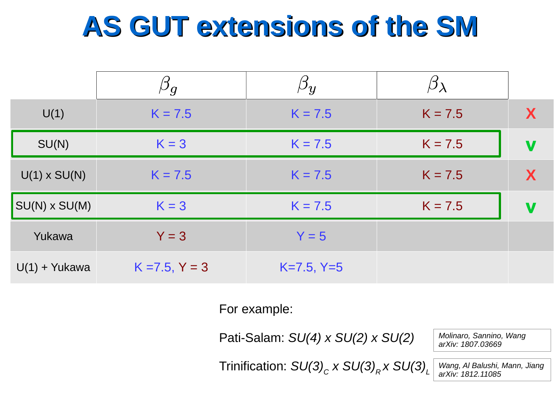# **AS GUT extensions of the SM**

|                     | $\beta_g$        | $\beta_y$    |           |   |
|---------------------|------------------|--------------|-----------|---|
| U(1)                | $K = 7.5$        | $K = 7.5$    | $K = 7.5$ | X |
| SU(N)               | $K = 3$          | $K = 7.5$    | $K = 7.5$ | V |
| $U(1) \times SU(N)$ | $K = 7.5$        | $K = 7.5$    | $K = 7.5$ | X |
| $SU(N)$ x $SU(M)$   | $K = 3$          | $K = 7.5$    | $K = 7.5$ | V |
| Yukawa              | $Y = 3$          | $Y = 5$      |           |   |
| $U(1) + Y$ ukawa    | $K = 7.5, Y = 3$ | $K=7.5, Y=5$ |           |   |

For example:

Pati-Salam: *SU(4) x SU(2) x SU(2)*

 $\left.\text{Trinification: } \mathsf{SU(3)}_c \times \mathsf{SU(3)}_R \times \mathsf{SU(3)}_L\right.$ 

*Molinaro, Sannino, Wang arXiv: 1807.03669* 

*Wang, Al Balushi, Mann, Jiang arXiv: 1812.11085*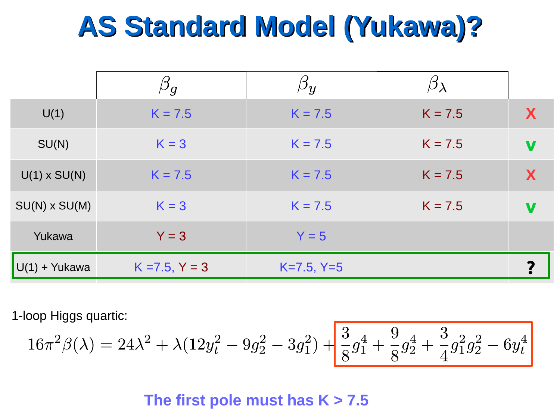# **AS Standard Model (Yukawa)?**

|                     | $\beta g$        | $\beta_y$    |           |   |
|---------------------|------------------|--------------|-----------|---|
| U(1)                | $K = 7.5$        | $K = 7.5$    | $K = 7.5$ | X |
| SU(N)               | $K = 3$          | $K = 7.5$    | $K = 7.5$ | V |
| $U(1) \times SU(N)$ | $K = 7.5$        | $K = 7.5$    | $K = 7.5$ | X |
| $SU(N)$ x $SU(M)$   | $K = 3$          | $K = 7.5$    | $K = 7.5$ | V |
| Yukawa              | $Y = 3$          | $Y = 5$      |           |   |
| $U(1) + Y$ ukawa    | $K = 7.5, Y = 3$ | $K=7.5, Y=5$ |           |   |

1-loop Higgs quartic:

$$
16\pi^2\beta(\lambda) = 24\lambda^2 + \lambda(12y_t^2 - 9g_2^2 - 3g_1^2) + \frac{3}{8}g_1^4 + \frac{9}{8}g_2^4 + \frac{3}{4}g_1^2g_2^2 - 6y_t^4
$$

#### **The first pole must has K > 7.5**